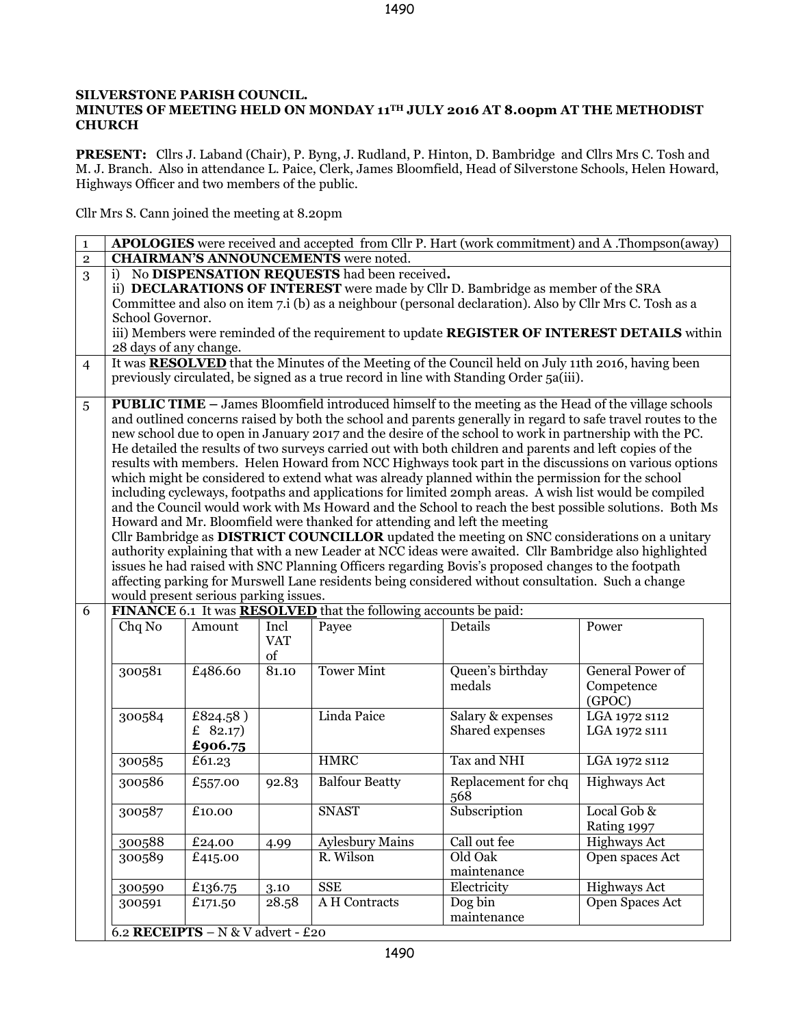## **SILVERSTONE PARISH COUNCIL.**

## **MINUTES OF MEETING HELD ON MONDAY 11TH JULY 2016 AT 8.00pm AT THE METHODIST CHURCH**

**PRESENT:** Cllrs J. Laband (Chair), P. Byng, J. Rudland, P. Hinton, D. Bambridge and Cllrs Mrs C. Tosh and M. J. Branch. Also in attendance L. Paice, Clerk, James Bloomfield, Head of Silverstone Schools, Helen Howard, Highways Officer and two members of the public.

Cllr Mrs S. Cann joined the meeting at 8.20pm

| $\mathbf 1$    | APOLOGIES were received and accepted from Cllr P. Hart (work commitment) and A .Thompson(away)                                                                            |                                   |            |                        |                     |                         |
|----------------|---------------------------------------------------------------------------------------------------------------------------------------------------------------------------|-----------------------------------|------------|------------------------|---------------------|-------------------------|
| $\mathbf 2$    | <b>CHAIRMAN'S ANNOUNCEMENTS</b> were noted.                                                                                                                               |                                   |            |                        |                     |                         |
| 3              | No DISPENSATION REQUESTS had been received.<br>i)                                                                                                                         |                                   |            |                        |                     |                         |
|                | ii) DECLARATIONS OF INTEREST were made by Cllr D. Bambridge as member of the SRA                                                                                          |                                   |            |                        |                     |                         |
|                | Committee and also on item 7.i (b) as a neighbour (personal declaration). Also by Cllr Mrs C. Tosh as a                                                                   |                                   |            |                        |                     |                         |
|                | School Governor.                                                                                                                                                          |                                   |            |                        |                     |                         |
|                | iii) Members were reminded of the requirement to update REGISTER OF INTEREST DETAILS within                                                                               |                                   |            |                        |                     |                         |
|                | 28 days of any change.<br>It was <b>RESOLVED</b> that the Minutes of the Meeting of the Council held on July 11th 2016, having been                                       |                                   |            |                        |                     |                         |
| $\overline{4}$ | previously circulated, be signed as a true record in line with Standing Order 5a(iii).                                                                                    |                                   |            |                        |                     |                         |
|                |                                                                                                                                                                           |                                   |            |                        |                     |                         |
| 5              | <b>PUBLIC TIME</b> – James Bloomfield introduced himself to the meeting as the Head of the village schools                                                                |                                   |            |                        |                     |                         |
|                | and outlined concerns raised by both the school and parents generally in regard to safe travel routes to the                                                              |                                   |            |                        |                     |                         |
|                | new school due to open in January 2017 and the desire of the school to work in partnership with the PC.                                                                   |                                   |            |                        |                     |                         |
|                | He detailed the results of two surveys carried out with both children and parents and left copies of the                                                                  |                                   |            |                        |                     |                         |
|                | results with members. Helen Howard from NCC Highways took part in the discussions on various options                                                                      |                                   |            |                        |                     |                         |
|                | which might be considered to extend what was already planned within the permission for the school                                                                         |                                   |            |                        |                     |                         |
|                | including cycleways, footpaths and applications for limited 20mph areas. A wish list would be compiled                                                                    |                                   |            |                        |                     |                         |
|                | and the Council would work with Ms Howard and the School to reach the best possible solutions. Both Ms                                                                    |                                   |            |                        |                     |                         |
|                | Howard and Mr. Bloomfield were thanked for attending and left the meeting<br>Cllr Bambridge as DISTRICT COUNCILLOR updated the meeting on SNC considerations on a unitary |                                   |            |                        |                     |                         |
|                | authority explaining that with a new Leader at NCC ideas were awaited. Cllr Bambridge also highlighted                                                                    |                                   |            |                        |                     |                         |
|                | issues he had raised with SNC Planning Officers regarding Bovis's proposed changes to the footpath                                                                        |                                   |            |                        |                     |                         |
|                | affecting parking for Murswell Lane residents being considered without consultation. Such a change                                                                        |                                   |            |                        |                     |                         |
|                | would present serious parking issues.                                                                                                                                     |                                   |            |                        |                     |                         |
| 6              | FINANCE 6.1 It was <b>RESOLVED</b> that the following accounts be paid:                                                                                                   |                                   |            |                        |                     |                         |
|                | Chq No                                                                                                                                                                    | Amount                            | Incl       | Payee                  | Details             | Power                   |
|                |                                                                                                                                                                           |                                   | <b>VAT</b> |                        |                     |                         |
|                |                                                                                                                                                                           |                                   | of         |                        |                     |                         |
|                | 300581                                                                                                                                                                    | £486.60                           | 81.10      | <b>Tower Mint</b>      | Queen's birthday    | <b>General Power of</b> |
|                |                                                                                                                                                                           |                                   |            |                        | medals              | Competence              |
|                |                                                                                                                                                                           |                                   |            |                        |                     | (GPOC)                  |
|                | 300584                                                                                                                                                                    | £824.58)                          |            | Linda Paice            | Salary & expenses   | LGA 1972 s112           |
|                |                                                                                                                                                                           | £ $82.17$                         |            |                        | Shared expenses     | LGA 1972 S111           |
|                |                                                                                                                                                                           | £906.75                           |            |                        |                     |                         |
|                | 300585                                                                                                                                                                    | $\overline{£}61.23$               |            | <b>HMRC</b>            | Tax and NHI         | LGA 1972 s112           |
|                | 300586                                                                                                                                                                    | £557.00                           | 92.83      | <b>Balfour Beatty</b>  | Replacement for chq | <b>Highways Act</b>     |
|                |                                                                                                                                                                           |                                   |            |                        | 568                 |                         |
|                | 300587                                                                                                                                                                    | £10.00                            |            | <b>SNAST</b>           | Subscription        | Local Gob &             |
|                |                                                                                                                                                                           |                                   |            |                        |                     | Rating 1997             |
|                | 300588                                                                                                                                                                    | £24.00                            | 4.99       | <b>Aylesbury Mains</b> | Call out fee        | <b>Highways Act</b>     |
|                | 300589                                                                                                                                                                    | £415.00                           |            | R. Wilson              | Old Oak             | Open spaces Act         |
|                |                                                                                                                                                                           |                                   |            |                        | maintenance         |                         |
|                | 300590                                                                                                                                                                    | £136.75                           | 3.10       | <b>SSE</b>             | Electricity         | <b>Highways Act</b>     |
|                | 300591                                                                                                                                                                    | £171.50                           | 28.58      | A H Contracts          | Dog bin             | Open Spaces Act         |
|                |                                                                                                                                                                           |                                   |            |                        | maintenance         |                         |
|                |                                                                                                                                                                           | 6.2 RECEIPTS - N & V advert - £20 |            |                        |                     |                         |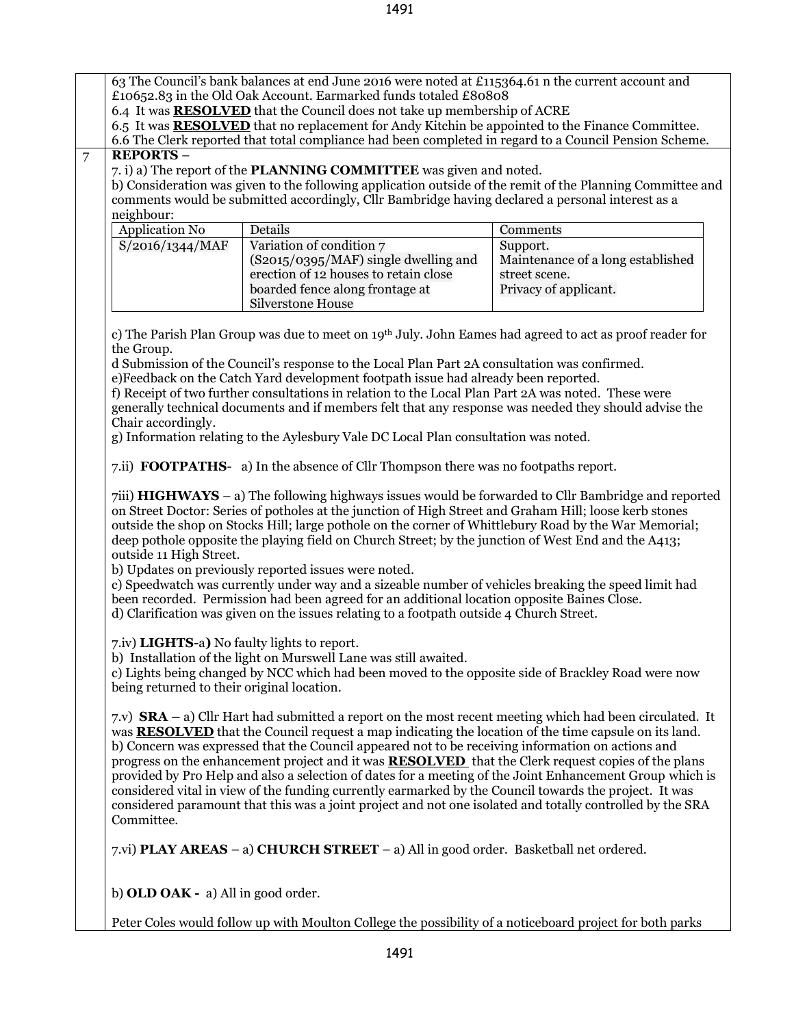63 The Council's bank balances at end June 2016 were noted at £115364.61 n the current account and £10652.83 in the Old Oak Account. Earmarked funds totaled £80808 6.4 It was **RESOLVED** that the Council does not take up membership of ACRE 6.5 It was **RESOLVED** that no replacement for Andy Kitchin be appointed to the Finance Committee. 6.6 The Clerk reported that total compliance had been completed in regard to a Council Pension Scheme. 7 **REPORTS** – 7. i) a) The report of the **PLANNING COMMITTEE** was given and noted. b) Consideration was given to the following application outside of the remit of the Planning Committee and comments would be submitted accordingly, Cllr Bambridge having declared a personal interest as a neighbour: Application No Details Comments [S/2016/1344/MAF](http://snc.planning-register.co.uk/plandisp.aspx?recno=93061) Variation of condition 7 (S2015/0395/MAF) single dwelling and erection of 12 houses to retain close boarded fence along frontage at Silverstone House Support. Maintenance of a long established street scene. Privacy of applicant. c) The Parish Plan Group was due to meet on 19th July. John Eames had agreed to act as proof reader for the Group. d Submission of the Council's response to the Local Plan Part 2A consultation was confirmed. e)Feedback on the Catch Yard development footpath issue had already been reported. f) Receipt of two further consultations in relation to the Local Plan Part 2A was noted. These were generally technical documents and if members felt that any response was needed they should advise the Chair accordingly. g) Information relating to the Aylesbury Vale DC Local Plan consultation was noted. 7.ii) **FOOTPATHS**- a) In the absence of Cllr Thompson there was no footpaths report. 7iii) **HIGHWAYS** – a) The following highways issues would be forwarded to Cllr Bambridge and reported on Street Doctor: Series of potholes at the junction of High Street and Graham Hill; loose kerb stones outside the shop on Stocks Hill; large pothole on the corner of Whittlebury Road by the War Memorial; deep pothole opposite the playing field on Church Street; by the junction of West End and the A413; outside 11 High Street. b) Updates on previously reported issues were noted. c) Speedwatch was currently under way and a sizeable number of vehicles breaking the speed limit had been recorded. Permission had been agreed for an additional location opposite Baines Close. d) Clarification was given on the issues relating to a footpath outside 4 Church Street. 7.iv) **LIGHTS-**a**)** No faulty lights to report. b) Installation of the light on Murswell Lane was still awaited. c) Lights being changed by NCC which had been moved to the opposite side of Brackley Road were now being returned to their original location. 7.v) **SRA –** a) Cllr Hart had submitted a report on the most recent meeting which had been circulated. It was **RESOLVED** that the Council request a map indicating the location of the time capsule on its land. b) Concern was expressed that the Council appeared not to be receiving information on actions and progress on the enhancement project and it was **RESOLVED** that the Clerk request copies of the plans provided by Pro Help and also a selection of dates for a meeting of the Joint Enhancement Group which is considered vital in view of the funding currently earmarked by the Council towards the project. It was considered paramount that this was a joint project and not one isolated and totally controlled by the SRA Committee. 7.vi) **PLAY AREAS** – a) **CHURCH STREET** – a) All in good order. Basketball net ordered.

b) **OLD OAK -** a) All in good order.

Peter Coles would follow up with Moulton College the possibility of a noticeboard project for both parks

1491